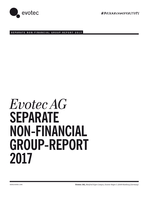

#RESeArChneVErSTOpS

**SEPARATE NON-FINANCIAL GROUP-REPORT 2017**

# *Evotec AG* **SEPARATE NON-FINANCIAL GROUP-REPORT 2017**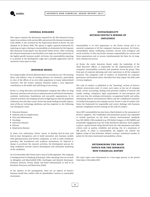

#### **GENERAL REMARKS**

This report contains the disclosures required for the Non-financial Group report in accordance with section 289c and section 315c German Commercial Code (HGB). It was reviewed by the Supervisory Board of Evotec AG and adopted on 22 March 2018. The option to apply a general framework for reporting on topics relating to sustainability as orientation for the Separate Non-financial Group Report was discussed within Evotec. After screening the relevant frameworks it was decided to not make use of this option due to the highly specific business model. At Evotec, the sustainability reporting is at present in the development stage and a possible application will be reviewed at later point in time.

#### **BUSINESS MODEL**

For a large number of severe illnesses there is currently no cure. The ensuing direct and indirect costs of treating patients are enormous, particularly in view of the effects of an ever older population in many industrialised countries. The life science industry therefore makes a very important contribution to the health and well-being of our society.

Evotec is a drug discovery and development company that offers its drug discovery solutions and services to pharmaceutical and biotech businesses, academic institutions, foundations and non-profit organisations. In its research activities, the company focuses on fighting not only the symptoms of diseases, but also their causes. Evotec has many leading scientific experts, state-of-the-art technology platforms and key expertise in the following core therapeutic areas:

- $\blacktriangleright$  Neuronal diseases
- Diabetes and its complications
- $\blacktriangleright$  Pain and inflammation
- ▶ Oncology
- Infectious diseases
- ▶ Fibrosis
- Respiratory diseases

In these core indications, Evotec strives to develop first-in-class and best-in-class therapeutics and to build innovative new business models with pharmaceutical and biotech companies, as well as other healthcare providers, like foundations and academic institutions. Its objective is always to accelerate the research activities, the development process for drug candidates towards clinical development and ultimately marketing of the candidates.

As of 31 December 2017 Evotec had a total of 2,178 employees. The company is headquartered in Hamburg (Germany); other operating sites are located in Abingdon and Macclesfield (UK), Goettingen and Munich (Germany), Toulouse (France), Verona (Italy) and Basel (Switzerland) as well as in Branford, Princeton and Watertown (USA).

In the opinion of the management, there are no aspects of Evotec's business model that conflict with its shareholders' interest in sustainable investment.

## **SUSTAINABILITY WITHIN EVOTEC'S SPHERE OF INFLUENCE**

Sustainability is of vital importance to the Evotec Group and is an essential component of all the company's business processes. For Evotec, sustainability means combining economic success with ecological and social activities. In this way Evotec assumes responsibility for current and future generations and so secures simultaneously the basis for its longterm commercial success.

At Evotec the entire Executive Board, under the leadership of the Chief Executive Officer, is responsible for the implementation of the company's sustainability activities and standards across the group. They form part of corporate planning and cover operations at all the company's locations. The company's code of conduct, its framework for corporate governance and business ethics, describes how they impact the daily work of every employee.

The code of conduct is published in the "Investing" section of Evotec's website (www.evotec.com). It covers such topics as the use of company funds, correct accounting, dealing with personal conflicts of interest and insider trading, compliance legal requirements of anti-corruption and anti-trust law, the working environment, occupational health and safety, minimising adverse environmental effects and the confidential treatment of intellectual property and company secrets. Evotec's code of conduct also forms the framework for responsible and correct dealings with business partners. Employees receive training on the code of conduct.

Since 2017 sustainability has also been a fixed element in the assessment of Evotec's suppliers. The established self-assessment process was expanded to include questions on the three criteria; environmental standards (e.g. ISO 14001), CSR standards (e.g. UN Global Compact or ISO 26000) and sustainable engagement (e.g. fair trade, Rainforest Alliance). Each supplier is given a points-based rating derived from the self-assessment and other criteria such as quality, reliability and pricing. Out of a maximum of 100 points, 15 relate to sustainability. No supplier can achieve the highest rating of Top Performer without scoring a minimum number of points for the above mentioned sustainability criteria.

# **DETERMINING THE MAIN TOPICS FOR THE SEPARATE NON-FINANCIAL REPORT**

The main topics were determined in a four-stage process in the period from May to December 2017.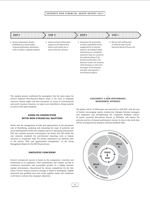#### **SEPARATE NON-FINANCIAL GROUP-REPORT 2017**

# **STEP 2 STEP 3 STEP 4 STEP 1**

- Review information already published (e.g. annual report, corporate governance declaration, code of conduct, corporate website).
- Send structured information requests to all departments whose work entails one or more of the five concerns.
- $\blacktriangleright$  Determine the materiality of topics using HGB criteria (supported by an external advisor). According to HGB, information are considered material if they are crucial for the understanding of the business performance, the financial results, the situation of the business as well as for the impact of the business activities with regards to non-financial aspects.
- Review and confirmation of material topics by the Executive Board of Evotec AG.

The analysis process confirmed the assumption that the main topics for Evotec's Separate Non-financial Report relate to the areas of employee concerns, human rights and anti-corruption. In terms of environmental and social concerns, however, no topics were identified as being material in terms of the legal standards.

### **RISKS IN CONNECTION WITH NON-FINANCIAL MATTERS**

Evotec sees the management of risks and opportunities as the permanent task of identifying, analysing and evaluating the range of potential and actual developments within the company and in its operating environment. This also includes material circumstances for Evotec that fall within the new statutory standards for non-financial reporting, such as human resources or compliance risks. For further information we therefore refer to the section "Risk and opportunities management" in the Group Management Report for the 2017 financial year.

#### **EMPLOYEE CONCERNS**

Evotec's commercial success is based on the competence, creativity and enthusiasm of its employees. Their performance and conduct are key to continuous innovation and sustainable growth. In a highly dynamic market environment, characterised by intense competition for the best talent, Evotec's human resources strategy is aimed at developing a highly motivated and qualified team that works together under safe conditions at all times to achieve the company's objectives.

#### **— EVO***CONNECT***: A NEW PERFORMANCE MANAGEMENT APPROACH —**

The global rollout of EVO*connect* was launched in mid-2017, with the aim of further encouraging regular constructive dialogue between managers and employees and strengthening the company's feedback culture. In future, quarterly discussions, known as EVOtalks, will replace the previous practice of annual performance reviews. In day-to-day work they will be accompanied by frequent, informal feedback talks.

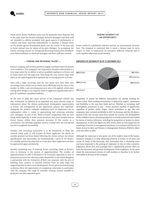

These much shorter feedback cycles and the generally more frequent and at the same time less formal exchanges between managers and their staff are intended to address promptly both good aspects of performance or conduct and those requiring improvement, to maintain a sharper focus on the jointly agreed development goals over the course of the year and to foster mutual trust by means of an open dialogue. To accompany the rollout, training courses on "Giving and Receiving Constructive Feedback" were held worldwide, to which all managers and their staff were invited.

#### **— FINDING AND RETAINING TALENT —**

Evotec's company and revenue growth is highly correlated with the growth of its workforce. The company's rate of growth is therefore determined to a very large extent by its ability to attract qualified employees to Evotec and to retain them over the long term. This being the case, various steps were taken in the reporting period to optimise the recruiting process at Evotec.

Sites with a high, recurring need for new talent now have their own recruiting teams, which can act faster, more efficiently and are closer to the market. In 2018, a new recruiting process is also to be applied, which aims among other things to cut response times to applicants significantly and to give all candidates a qualified feedback.

At the start of 2018, the career section of the company's website was also overhauled. In addition to an expanded and more relevant range of information about the diverse professional development opportunities at Evotec, the transparency of the application process was improved. Alongside the website, company employees have an important role as ambassadors when it comes to approaching and attracting potential new colleagues. As part of the "Refer-a-Friend" programme they are now being asked explicitly to make vacant positions and career perspectives at Evotec known within their personal networks. If this results in a recruitment, the referring employee receives a bonus after the trial period has been completed successfully.

Another new recruiting instrument is to be introduced in 2018: the external talent pool. It will contain all those applicants for whom no suitable position has been found following the initial contact, but whose qualifications and personality are fundamentally a good fit for Evotec. If a suitable position becomes free at a later date, these applicants can then be approached again and directly.

Another promising way of meeting future recruiting needs at Evotec's sites in Germany is the system of apprenticeships. The number of apprenticeships on offer is therefore to be increased, especially in view of imminent vacancies for laboratory jobs. Meanwhile in the United Kingdom a partnership with the University of Bath was renewed, with the aim of building close contacts to talented students from an early stage and supporting them in their career development. Evotec gives interested young academics there the opportunity of completing a doctorate in association with the company. The range of scientific training courses available to graduates was also expanded again.

#### **— SEIZING DIVERSITY AS AN OPPORTUNITY —**

Evotec works in a globalised industry and has an international customer base. The company is convinced that it needs a diverse team in every respect in order to understand its customers' different demands and to work together effectively across borders.

#### *EMPLOYEES BY NATIONALITY AS OF 31 DECEMBER 2017*



Employees of almost 60 different nationalities are already working for Evotec today. Their working environment is defined by respect, cooperation and flexibility in the way they think and act. Whether in recruiting, staff development, promotion or pay – Evotec practices equality of opportunity regardless of gender, ethnic origin, sexual orientation or age. 266 new employees were recruited worldwide in 2017. In Germany and the UK about a quarter of the new recruits came from outside the country. The development of the workforce from a diversity perspective is actively monitored and tracked by means of various indicators, including the proportion of women in senior management. In 2017, this figure was 30%. Evotec meets its own targets for the percentage of women in management positions, in accordance with the Act on Equal Access for Men and Women to Management Positions (FüPoG), which came into effect in 2015.

Although the status quo is very good, one of the explicit aims of the human resources strategy is to keep advancing diversity at Evotec in all areas and across all levels of the hierarchy. One instrument that is becoming more and more important is the posting of employees to sites in other countries. Experience shows that such postings have a significantly positive effect on both the functional and personal development of the employees. In the years ahead the international rotation of staff members is therefore to be further intensified in all areas of the company.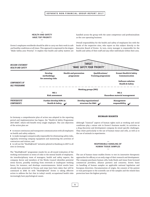#### **SEPARATE NON-FINANCIAL GROUP-REPORT 2017**

#### **— HEALTH AND SAFETY HAVE TOP PRIORITY —**

handled across the group with the same competence and professionalism as the core operating business.

Evotec's employees worldwide should be able to carry out their work in safe and healthy conditions at all times. This approach is expressed in the slogan "Make Safety your Priority". It implies that health and safety matters are

Overall responsibility for the health and safety of employees lies with the heads of the respective sites, who report on this subject directly to the Executive Board of Evotec. In turn, every manager is responsible for the health and safety of their staff and any other individuals within their area.



In Germany a comprehensive plan of action was adopted in the reporting period and implementation has begun: the "Health & Safety Programme 2017-2020", which will benefit every single employee. The core objectives of the action plan are

 $\triangleright$  to ensure continuous and transparent communication with all employees on health and safety subjects,

 $\triangleright$  to make managers unequivocally responsible for eliminating safety risks, regularly reviewing company equipment and monitoring the activities of contractors and visitors, and

to roll out the "Health@work" initiative piloted in Hamburg in 2017 to all sites in Germany.

The "Health@work" programme stands for an all-round evaluation of the working environment in terms of risks to the mental health of employees. An interdisciplinary team of managers, health and safety experts, the company doctor and members of the Works Council identifies potential stress factors, possibly resulting from overwork or inadequate working hours, for instance, and develops countermeasures. Initial results have already been presented in Verona and steps have been taken that will be continued in 2018. So with "Health@work" Evotec is taking effective action to address the fact that in today's world, occupational health risks increasingly have psychological causes.

#### **HUMAN RIGHTS**

Although "classical" aspects of human rights such as working and social conditions play a minor role in Evotec's business model, its activities as a drug discovery and development company do entail specific challenges. They relate particularly to the use of human tissue and cells, as well as to the use of animals in experiments.

#### **— RESPONSIBLE HANDLING OF HUMAN TISSUE SAMPLES —**

The use of human tissue enables Evotec to test its innovative therapeutic approaches for efficacy at an early stage of their research and development. The company purchases human cells, body fluids and tissue from licensed commercial providers, alliance partners and consortia. Evotec bases its handling of human samples on applicable national legislation and European directives. Documentation of origin, the consent of the patient or trial participant to the scientific use of the samples and the related data protection have the highest priority.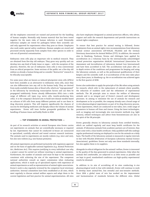

All the employees concerned are trained and protected for the handling of human samples. Normally only human material that has been tested negative for the main risks of human infection is used. Potentially infectious samples are tested for pathogens before their scientific use and only approved for experiments when they pose no threat. Employees also work under special safety conditions. Human samples are stored and processed strictly separately from samples from other species in order to rule out all potential contamination.

Embryonic stem cells play an important role in medical research. They are obtained from five-day old embryos. They grow very quickly and can develop into any kind of body tissue or organ – with the exception of the placenta. However, the use of embryonic stem cells is very controversial from an ethical perspective. Some sections of the public see a five-day old embryo as already a human being and so consider "destructive" research to be ethically unacceptable.

For some years what are known as induced pluripotent stem cells (iPSCs) have been available as an alternative to embryonic stem cells, since they can also differentiate into any cell in the human body. They are derived from easily available human skin or blood cells, which are "reprogrammed" in the laboratory by introducing transcription factors and can then be propagated indefinitely. Evotec already differentiates iPSCs into a wide range of different cell types (e.g. nerve cells, insulin-producing beta cells). It is the company's declared aim to build new disease models based on cultures of iPS cells from many different patients and to use them in drug discovery projects. This will improve significantly the chances of success for developing medicines and sharply reduce the volume of animal experiments. Evotec will issue further groupwide guidelines for the handling of human tissue and bodily fluids in 2018.

#### **— TOP STANDARDS IN ANIMAL PROTECTION —**

As part of its research activities at several European sites Evotec carries out experiments on animals that are scientifically necessary or required by law. Experiments that cannot be conducted in-house are outsourced to specialised, carefully selected and tested contract research institutes. The animals used in experiments are mostly rodents (e.g. mice and rats), but also non-rodents (e.g. non-human primates).

All animal experiments are performed exclusively with regulatory approval and on the basis of applicable national legislation (e.g. Animal Protection Act, Medicines Act). This requires justifying in every individual case why a project cannot be carried out without resorting to animal experiments. Furthermore, the number of animals used must be kept to the minimum consistent with achieving the aim of the experiment. The competent national authorities consult an expert commission when evaluating applications, which is made up of specialised experts with experience of animal experiments as well as representatives of animal rights associations. Evotec's work is also regularly reviewed by the competent local veterinary authorities. Internal committees have been established at all sites, which meet regularly to discuss animal welfare aspects and adapt them to the current legislation and best practice for animal experimentation. All sites

also have employees designated as animal protection officers, who advise, support and audit the research departments and provide instructions on animal rights compliance.

To ensure that best practice for animal testing is followed, Evotec implements from an animal rights view recommendations from laboratory animal science associations (GV-SOLAS, FELASA) and the German Veterinary Association for Animal Welfare (TVT). In addition, the research sites in Hamburg, Toulouse, Verona and Göttingen have applied for accreditation on a voluntary basis by the internationally acknowledged animal protection organisation AAALAC International (Association for Assessment and Accreditation of Laboratory Animal Care International) and have been accredited in full. The accreditation took place after an in-depth review of the conditions and programmes for keeping and using the laboratory animals, as well as the professional qualifications of their keepers and the scientific staff. A re-accreditation of the sites takes place every three years, in Hamburg e.g. the re-accreditation was achieved again in the first quarter of 2018.

Evotec also undertakes to apply the principle of the 3Rs when using animals for research, which refer to the replacement of animals where possible, the reduction of numbers used and the refinement of experimental methods. The 3R principle aims to ensure the welfare of laboratory animals and is an integral part of Evotec's research and development processes. In aiming to minimise the use of animals for research and development as far as possible, the company already uses a broad range of *in vitro* pharmacological experiments as part of its drug discovery process. These experiments, which are conducted in test tubes, test a wide range of parameters in human cell lines and tissues. Using the latest technologies, such as imaging and increasingly also non-invasive methods (e.g. light sensors), refined techniques and advice from biostatisticians are also in the spirit of the 3R principle.

Evotec generally obtains its laboratory animals from certified breeders, which are audited regularly and must keep health certificates for the animals. If laboratory animals from academic partners are of interest, they must come with a clean health certificate. Only qualified staff who undergo regular professional training are deployed to care for the animals on a daily basis. The health of the laboratory animals is measured at regular intervals in line with FELASA (Federation of European Laboratory Animal Science Associations) guidelines. Evotec not only uses these standards internally, but also applies them to its suppliers.

Alongside its ethical obligation for the animals' welfare, Evotec is interested in the quality of the data generated in animal experiments. Only when the animals feel comfortable, are subjected to as little stress as possible and are kept in good, standardised conditions can high-quality experimental results be obtained.

In addition to its aim of accrediting all its sites conducting *in vivo* pharmacological work in line with AAALAC, Evotec will continue to work to develop more animal-free, less stressful and non-invasive methods. Since 2016 a global team of vets has worked on the improvement and harmonisation of standards between the different sites. Global